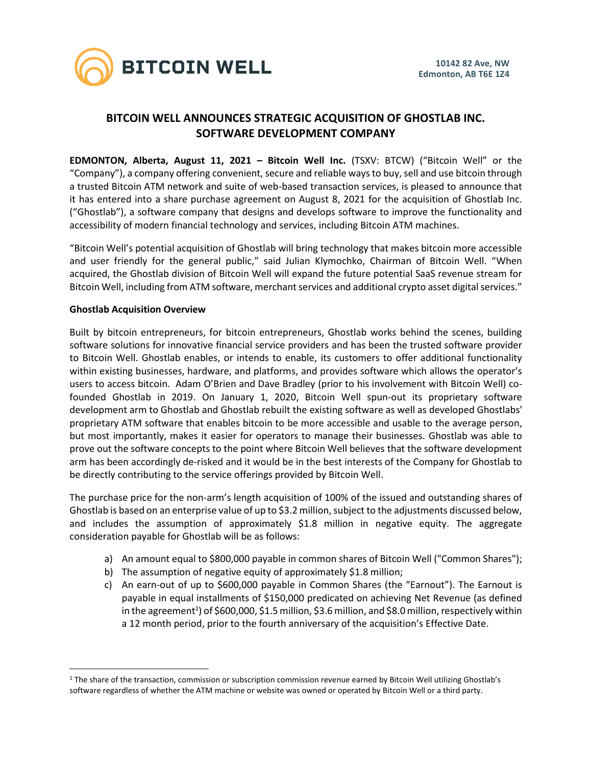

# **BITCOIN WELL ANNOUNCES STRATEGIC ACQUISITION OF GHOSTLAB INC. SOFTWARE DEVELOPMENT COMPANY**

**EDMONTON, Alberta, August 11, 2021 – Bitcoin Well Inc.** (TSXV: BTCW) ("Bitcoin Well" or the "Company"), a company offering convenient, secure and reliable ways to buy, sell and use bitcoin through a trusted Bitcoin ATM network and suite of web-based transaction services, is pleased to announce that it has entered into a share purchase agreement on August 8, 2021 for the acquisition of Ghostlab Inc. ("Ghostlab"), a software company that designs and develops software to improve the functionality and accessibility of modern financial technology and services, including Bitcoin ATM machines.

"Bitcoin Well's potential acquisition of Ghostlab will bring technology that makes bitcoin more accessible and user friendly for the general public," said Julian Klymochko, Chairman of Bitcoin Well. "When acquired, the Ghostlab division of Bitcoin Well will expand the future potential SaaS revenue stream for Bitcoin Well, including from ATM software, merchant services and additional crypto asset digital services."

# **Ghostlab Acquisition Overview**

Built by bitcoin entrepreneurs, for bitcoin entrepreneurs, Ghostlab works behind the scenes, building software solutions for innovative financial service providers and has been the trusted software provider to Bitcoin Well. Ghostlab enables, or intends to enable, its customers to offer additional functionality within existing businesses, hardware, and platforms, and provides software which allows the operator's users to access bitcoin. Adam O'Brien and Dave Bradley (prior to his involvement with Bitcoin Well) cofounded Ghostlab in 2019. On January 1, 2020, Bitcoin Well spun-out its proprietary software development arm to Ghostlab and Ghostlab rebuilt the existing software as well as developed Ghostlabs' proprietary ATM software that enables bitcoin to be more accessible and usable to the average person, but most importantly, makes it easier for operators to manage their businesses. Ghostlab was able to prove out the software concepts to the point where Bitcoin Well believes that the software development arm has been accordingly de-risked and it would be in the best interests of the Company for Ghostlab to be directly contributing to the service offerings provided by Bitcoin Well.

The purchase price for the non-arm's length acquisition of 100% of the issued and outstanding shares of Ghostlab is based on an enterprise value of up to \$3.2 million, subject to the adjustments discussed below, and includes the assumption of approximately \$1.8 million in negative equity. The aggregate consideration payable for Ghostlab will be as follows:

- a) An amount equal to \$800,000 payable in common shares of Bitcoin Well ("Common Shares");
- b) The assumption of negative equity of approximately \$1.8 million;
- c) An earn-out of up to \$600,000 payable in Common Shares (the "Earnout"). The Earnout is payable in equal installments of \$150,000 predicated on achieving Net Revenue (as defined in the agreement<sup>1</sup>) of \$600,000, \$1.5 million, \$3.6 million, and \$8.0 million, respectively within a 12 month period, prior to the fourth anniversary of the acquisition's Effective Date.

<sup>1</sup> The share of the transaction, commission or subscription commission revenue earned by Bitcoin Well utilizing Ghostlab's software regardless of whether the ATM machine or website was owned or operated by Bitcoin Well or a third party.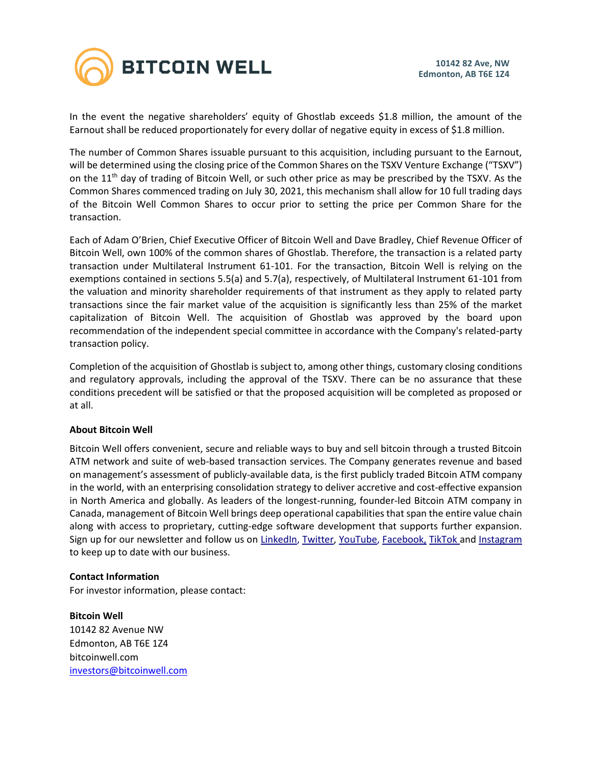

In the event the negative shareholders' equity of Ghostlab exceeds \$1.8 million, the amount of the Earnout shall be reduced proportionately for every dollar of negative equity in excess of \$1.8 million.

The number of Common Shares issuable pursuant to this acquisition, including pursuant to the Earnout, will be determined using the closing price of the Common Shares on the TSXV Venture Exchange ("TSXV") on the 11<sup>th</sup> day of trading of Bitcoin Well, or such other price as may be prescribed by the TSXV. As the Common Shares commenced trading on July 30, 2021, this mechanism shall allow for 10 full trading days of the Bitcoin Well Common Shares to occur prior to setting the price per Common Share for the transaction.

Each of Adam O'Brien, Chief Executive Officer of Bitcoin Well and Dave Bradley, Chief Revenue Officer of Bitcoin Well, own 100% of the common shares of Ghostlab. Therefore, the transaction is a related party transaction under Multilateral Instrument 61-101. For the transaction, Bitcoin Well is relying on the exemptions contained in sections 5.5(a) and 5.7(a), respectively, of Multilateral Instrument 61-101 from the valuation and minority shareholder requirements of that instrument as they apply to related party transactions since the fair market value of the acquisition is significantly less than 25% of the market capitalization of Bitcoin Well. The acquisition of Ghostlab was approved by the board upon recommendation of the independent special committee in accordance with the Company's related-party transaction policy.

Completion of the acquisition of Ghostlab is subject to, among other things, customary closing conditions and regulatory approvals, including the approval of the TSXV. There can be no assurance that these conditions precedent will be satisfied or that the proposed acquisition will be completed as proposed or at all.

### **About Bitcoin Well**

Bitcoin Well offers convenient, secure and reliable ways to buy and sell bitcoin through a trusted Bitcoin ATM network and suite of web-based transaction services. The Company generates revenue and based on management's assessment of publicly-available data, is the first publicly traded Bitcoin ATM company in the world, with an enterprising consolidation strategy to deliver accretive and cost-effective expansion in North America and globally. As leaders of the longest-running, founder-led Bitcoin ATM company in Canada, management of Bitcoin Well brings deep operational capabilities that span the entire value chain along with access to proprietary, cutting-edge software development that supports further expansion. Sign up for our newsletter and follow us on [LinkedIn,](https://www.linkedin.com/company/bitcoinwell/) [Twitter,](https://twitter.com/TheBitcoinWell) [YouTube,](https://www.youtube.com/channel/UCeHRFsSr3KEGD5kECjlvC4g) [Facebook,](https://www.facebook.com/thebitcoinwell) [TikTok](https://www.tiktok.com/@bitcoinwellofficial?lang=en) and [Instagram](https://www.instagram.com/thebitcoinwell/) to keep up to date with our business.

### **Contact Information**

For investor information, please contact:

**Bitcoin Well** 10142 82 Avenue NW Edmonton, AB T6E 1Z4 bitcoinwell.com [investors@bitcoinwell.com](mailto:IR@bitcoinwell.com)